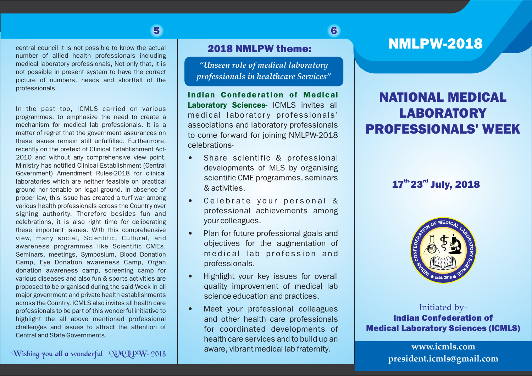## 5 6

central council it is not possible to know the actual number of allied health professionals including medical laboratory professionals, Not only that, it is not possible in present system to have the correct picture of numbers, needs and shortfall of the professionals.

In the past too, ICMLS carried on various programmes, to emphasize the need to create a mechanism for medical lab professionals. It is a matter of regret that the government assurances on these issues remain still unfulfilled. Furthermore, recently on the pretext of Clinical Establishment Act-2010 and without any comprehensive view point, Ministry has notified Clinical Establishment (Central Government) Amendment Rules-2018 for clinical laboratories which are neither feasible on practical ground nor tenable on legal ground. In absence of proper law, this issue has created a turf war among various health professionals across the Country over signing authority. Therefore besides fun and celebrations, it is also right time for deliberating these important issues. With this comprehensive view, many social, Scientific, Cultural, and awareness programmes like Scientific CMEs, Seminars, meetings, Symposium, Blood Donation Camp, Eye Donation awareness Camp, Organ donation awareness camp, screening camp for various diseases and also fun & sports activities are proposed to be organised during the said Week in all major government and private health establishments across the Country. ICMLS also invites all health care professionals to be part of this wonderful initiative to highlight the all above mentioned professional challenges and issues to attract the attention of Central and State Governments.

### 2018 NMLPW theme:

*"Unseen role of medical laboratory professionals in healthcare Services"*

Indian Confederation of Medical Laboratory Sciences- ICMLS invites all medical laboratory professionals' associations and laboratory professionals to come forward for joining NMLPW-2018 celebrations-

- Share scientific & professional developments of MLS by organising scientific CME programmes, seminars & activities.
- Celebrate your personal & professional achievements among your colleagues.
- Plan for future professional goals and objectives for the augmentation of medical lab profession and professionals.
- Highlight your key issues for overall quality improvement of medical lab science education and practices.
- Meet your professional colleagues and other health care professionals for coordinated developments of health care services and to build up an aware, vibrant medical lab fraternity.

# NMLPW-2018

# NATIONAL MEDICAL **LABORATORY** PROFESSIONALS' WEEK

## 17th- 23<sup>rd</sup> July, 2018



Initiated by-Indian Confederation of Medical Laboratory Sciences (ICMLS)

> **www.icmls.com president.icmls@gmail.com**

Wishing you all a wonderful NMJPW-2018